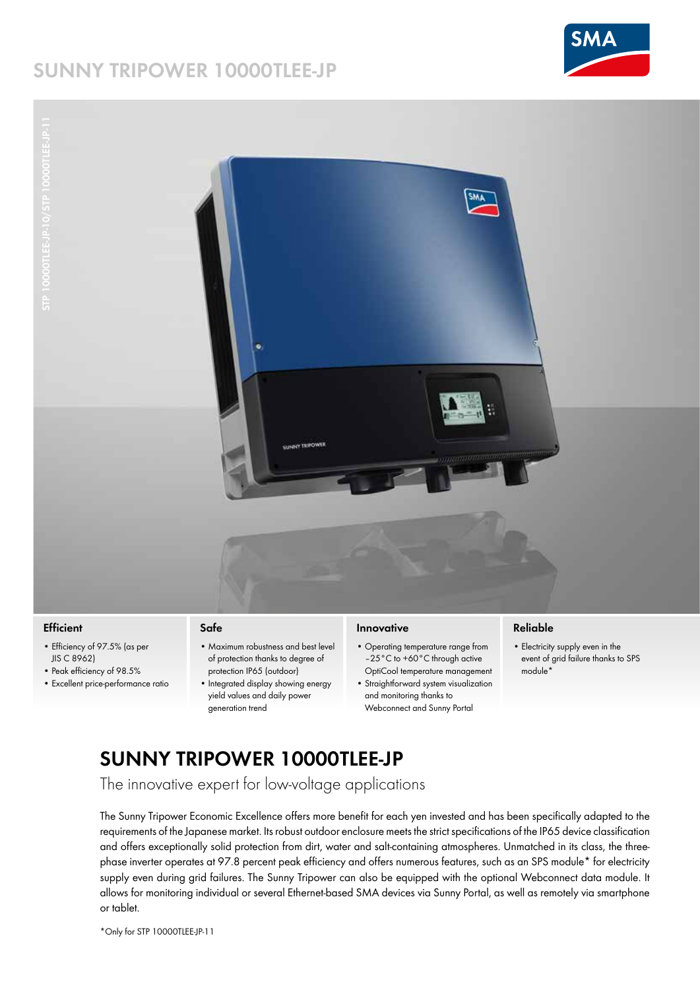# **SUNNY TRIPOWER 10000TLEE-JP**



10000TLEE-JP-11



## **Efficient**

- Efficiency of 97.5% (as per JIS C 8962)
- Peak efficiency of 98.5%
- Excellent price-performance ratio

#### **Safe**

- Maximum robustness and best level of protection thanks to degree of protection IP65 (outdoor)
- Integrated display showing energy yield values and daily power generation trend

## **Innovative**

- Operating temperature range from –25°C to +60°C through active OptiCool temperature management
- Straightforward system visualization and monitoring thanks to Webconnect and Sunny Portal

## **Reliable**

• Electricity supply even in the event of grid failure thanks to SPS module\*

# **SUNNY TRIPOWER 10000TLEE-JP**

The innovative expert for low-voltage applications

The Sunny Tripower Economic Excellence offers more benefit for each yen invested and has been specifically adapted to the requirements of the Japanese market. Its robust outdoor enclosure meets the strict specifications of the IP65 device classification and offers exceptionally solid protection from dirt, water and salt-containing atmospheres. Unmatched in its class, the threephase inverter operates at 97.8 percent peak efficiency and offers numerous features, such as an SPS module\* for electricity supply even during grid failures. The Sunny Tripower can also be equipped with the optional Webconnect data module. It allows for monitoring individual or several Ethernet-based SMA devices via Sunny Portal, as well as remotely via smartphone or tablet.